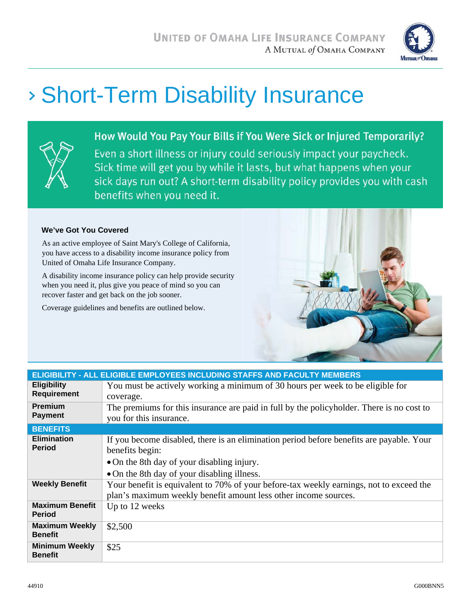

# Short-Term Disability Insurance



How Would You Pay Your Bills if You Were Sick or Injured Temporarily? Even a short illness or injury could seriously impact your paycheck. Sick time will get you by while it lasts, but what happens when your sick days run out? A short-term disability policy provides you with cash benefits when you need it.

#### **We've Got You Covered**

As an active employee of Saint Mary's College of California, you have access to a disability income insurance policy from United of Omaha Life Insurance Company.

A disability income insurance policy can help provide security when you need it, plus give you peace of mind so you can recover faster and get back on the job sooner.

Coverage guidelines and benefits are outlined below.



| ELIGIBILITY - ALL ELIGIBLE EMPLOYEES INCLUDING STAFFS AND FACULTY MEMBERS |                                                                                                                                                                                                          |  |
|---------------------------------------------------------------------------|----------------------------------------------------------------------------------------------------------------------------------------------------------------------------------------------------------|--|
| <b>Eligibility</b><br><b>Requirement</b>                                  | You must be actively working a minimum of 30 hours per week to be eligible for<br>coverage.                                                                                                              |  |
| <b>Premium</b><br><b>Payment</b>                                          | The premiums for this insurance are paid in full by the policyholder. There is no cost to<br>you for this insurance.                                                                                     |  |
| <b>BENEFITS</b>                                                           |                                                                                                                                                                                                          |  |
| <b>Elimination</b><br><b>Period</b>                                       | If you become disabled, there is an elimination period before benefits are payable. Your<br>benefits begin:<br>• On the 8th day of your disabling injury.<br>• On the 8th day of your disabling illness. |  |
| <b>Weekly Benefit</b>                                                     | Your benefit is equivalent to 70% of your before-tax weekly earnings, not to exceed the<br>plan's maximum weekly benefit amount less other income sources.                                               |  |
| <b>Maximum Benefit</b><br><b>Period</b>                                   | Up to 12 weeks                                                                                                                                                                                           |  |
| <b>Maximum Weekly</b><br><b>Benefit</b>                                   | \$2,500                                                                                                                                                                                                  |  |
| <b>Minimum Weekly</b><br><b>Benefit</b>                                   | \$25                                                                                                                                                                                                     |  |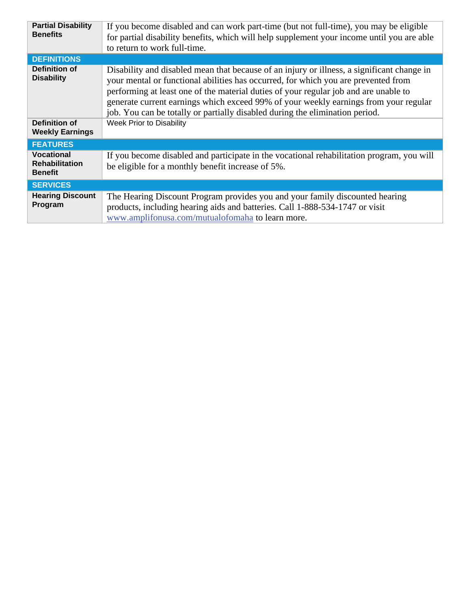| <b>Partial Disability</b><br><b>Benefits</b>                 | If you become disabled and can work part-time (but not full-time), you may be eligible<br>for partial disability benefits, which will help supplement your income until you are able<br>to return to work full-time.                                                                                                                                                                                                                             |  |
|--------------------------------------------------------------|--------------------------------------------------------------------------------------------------------------------------------------------------------------------------------------------------------------------------------------------------------------------------------------------------------------------------------------------------------------------------------------------------------------------------------------------------|--|
| <b>DEFINITIONS</b>                                           |                                                                                                                                                                                                                                                                                                                                                                                                                                                  |  |
| Definition of<br><b>Disability</b>                           | Disability and disabled mean that because of an injury or illness, a significant change in<br>your mental or functional abilities has occurred, for which you are prevented from<br>performing at least one of the material duties of your regular job and are unable to<br>generate current earnings which exceed 99% of your weekly earnings from your regular<br>job. You can be totally or partially disabled during the elimination period. |  |
| <b>Definition of</b><br><b>Weekly Earnings</b>               | Week Prior to Disability                                                                                                                                                                                                                                                                                                                                                                                                                         |  |
| <b>FEATURES</b>                                              |                                                                                                                                                                                                                                                                                                                                                                                                                                                  |  |
| <b>Vocational</b><br><b>Rehabilitation</b><br><b>Benefit</b> | If you become disabled and participate in the vocational rehabilitation program, you will<br>be eligible for a monthly benefit increase of 5%.                                                                                                                                                                                                                                                                                                   |  |
| <b>SERVICES</b>                                              |                                                                                                                                                                                                                                                                                                                                                                                                                                                  |  |
| <b>Hearing Discount</b><br>Program                           | The Hearing Discount Program provides you and your family discounted hearing<br>products, including hearing aids and batteries. Call 1-888-534-1747 or visit<br>www.amplifonusa.com/mutualofomaha to learn more.                                                                                                                                                                                                                                 |  |